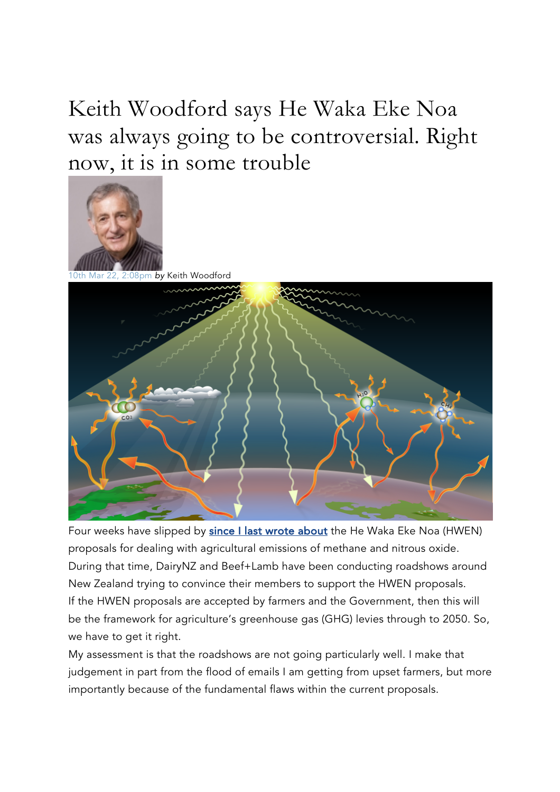Keith Woodford says He Waka Eke Noa was always going to be controversial. Right now, it is in some trouble



2:08pm by Keith Woodford



Four weeks have slipped by since I last wrote about the He Waka Eke Noa (HWEN) proposals for dealing with agricultural emissions of methane and nitrous oxide. During that time, DairyNZ and Beef+Lamb have been conducting roadshows around New Zealand trying to convince their members to support the HWEN proposals. If the HWEN proposals are accepted by farmers and the Government, then this will be the framework for agriculture's greenhouse gas (GHG) levies through to 2050. So, we have to get it right.

My assessment is that the roadshows are not going particularly well. I make that judgement in part from the flood of emails I am getting from upset farmers, but more importantly because of the fundamental flaws within the current proposals.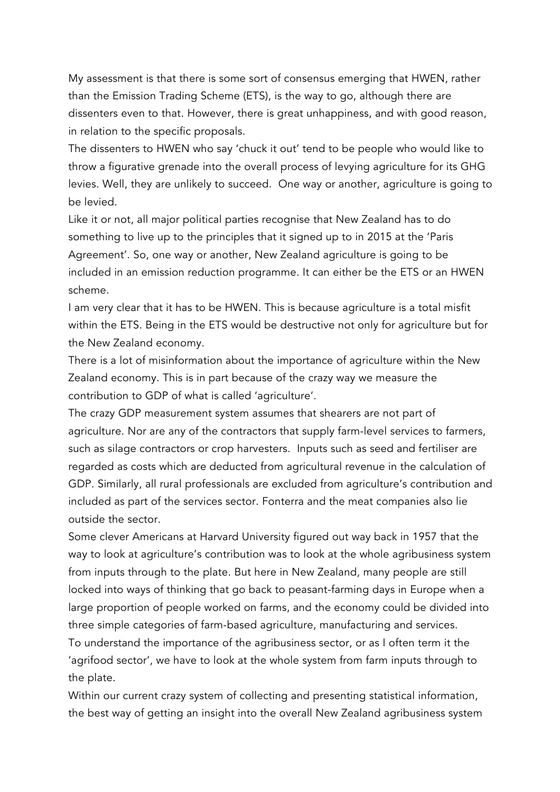My assessment is that there is some sort of consensus emerging that HWEN, rather than the Emission Trading Scheme (ETS), is the way to go, although there are dissenters even to that. However, there is great unhappiness, and with good reason, in relation to the specific proposals.

The dissenters to HWEN who say 'chuck it out' tend to be people who would like to throw a figurative grenade into the overall process of levying agriculture for its GHG levies. Well, they are unlikely to succeed. One way or another, agriculture is going to be levied.

Like it or not, all major political parties recognise that New Zealand has to do something to live up to the principles that it signed up to in 2015 at the 'Paris Agreement'. So, one way or another, New Zealand agriculture is going to be included in an emission reduction programme. It can either be the ETS or an HWEN scheme.

I am very clear that it has to be HWEN. This is because agriculture is a total misfit within the ETS. Being in the ETS would be destructive not only for agriculture but for the New Zealand economy.

There is a lot of misinformation about the importance of agriculture within the New Zealand economy. This is in part because of the crazy way we measure the contribution to GDP of what is called 'agriculture'.

The crazy GDP measurement system assumes that shearers are not part of agriculture. Nor are any of the contractors that supply farm-level services to farmers, such as silage contractors or crop harvesters. Inputs such as seed and fertiliser are regarded as costs which are deducted from agricultural revenue in the calculation of GDP. Similarly, all rural professionals are excluded from agriculture's contribution and included as part of the services sector. Fonterra and the meat companies also lie outside the sector.

Some clever Americans at Harvard University figured out way back in 1957 that the way to look at agriculture's contribution was to look at the whole agribusiness system from inputs through to the plate. But here in New Zealand, many people are still locked into ways of thinking that go back to peasant-farming days in Europe when a large proportion of people worked on farms, and the economy could be divided into three simple categories of farm-based agriculture, manufacturing and services. To understand the importance of the agribusiness sector, or as I often term it the 'agrifood sector', we have to look at the whole system from farm inputs through to the plate.

Within our current crazy system of collecting and presenting statistical information, the best way of getting an insight into the overall New Zealand agribusiness system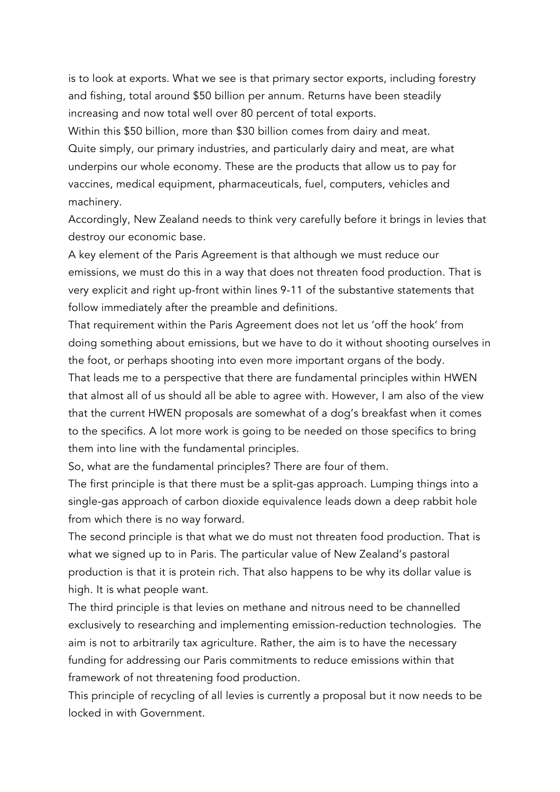is to look at exports. What we see is that primary sector exports, including forestry and fishing, total around \$50 billion per annum. Returns have been steadily increasing and now total well over 80 percent of total exports. Within this \$50 billion, more than \$30 billion comes from dairy and meat. Quite simply, our primary industries, and particularly dairy and meat, are what underpins our whole economy. These are the products that allow us to pay for vaccines, medical equipment, pharmaceuticals, fuel, computers, vehicles and machinery.

Accordingly, New Zealand needs to think very carefully before it brings in levies that destroy our economic base.

A key element of the Paris Agreement is that although we must reduce our emissions, we must do this in a way that does not threaten food production. That is very explicit and right up-front within lines 9-11 of the substantive statements that follow immediately after the preamble and definitions.

That requirement within the Paris Agreement does not let us 'off the hook' from doing something about emissions, but we have to do it without shooting ourselves in the foot, or perhaps shooting into even more important organs of the body.

That leads me to a perspective that there are fundamental principles within HWEN that almost all of us should all be able to agree with. However, I am also of the view that the current HWEN proposals are somewhat of a dog's breakfast when it comes to the specifics. A lot more work is going to be needed on those specifics to bring them into line with the fundamental principles.

So, what are the fundamental principles? There are four of them.

The first principle is that there must be a split-gas approach. Lumping things into a single-gas approach of carbon dioxide equivalence leads down a deep rabbit hole from which there is no way forward.

The second principle is that what we do must not threaten food production. That is what we signed up to in Paris. The particular value of New Zealand's pastoral production is that it is protein rich. That also happens to be why its dollar value is high. It is what people want.

The third principle is that levies on methane and nitrous need to be channelled exclusively to researching and implementing emission-reduction technologies. The aim is not to arbitrarily tax agriculture. Rather, the aim is to have the necessary funding for addressing our Paris commitments to reduce emissions within that framework of not threatening food production.

This principle of recycling of all levies is currently a proposal but it now needs to be locked in with Government.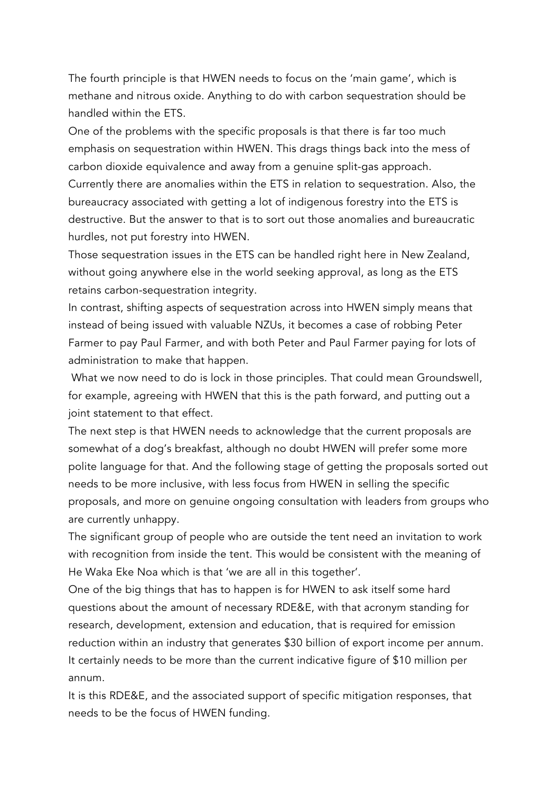The fourth principle is that HWEN needs to focus on the 'main game', which is methane and nitrous oxide. Anything to do with carbon sequestration should be handled within the ETS.

One of the problems with the specific proposals is that there is far too much emphasis on sequestration within HWEN. This drags things back into the mess of carbon dioxide equivalence and away from a genuine split-gas approach.

Currently there are anomalies within the ETS in relation to sequestration. Also, the bureaucracy associated with getting a lot of indigenous forestry into the ETS is destructive. But the answer to that is to sort out those anomalies and bureaucratic hurdles, not put forestry into HWEN.

Those sequestration issues in the ETS can be handled right here in New Zealand, without going anywhere else in the world seeking approval, as long as the ETS retains carbon-sequestration integrity.

In contrast, shifting aspects of sequestration across into HWEN simply means that instead of being issued with valuable NZUs, it becomes a case of robbing Peter Farmer to pay Paul Farmer, and with both Peter and Paul Farmer paying for lots of administration to make that happen.

What we now need to do is lock in those principles. That could mean Groundswell, for example, agreeing with HWEN that this is the path forward, and putting out a joint statement to that effect.

The next step is that HWEN needs to acknowledge that the current proposals are somewhat of a dog's breakfast, although no doubt HWEN will prefer some more polite language for that. And the following stage of getting the proposals sorted out needs to be more inclusive, with less focus from HWEN in selling the specific proposals, and more on genuine ongoing consultation with leaders from groups who are currently unhappy.

The significant group of people who are outside the tent need an invitation to work with recognition from inside the tent. This would be consistent with the meaning of He Waka Eke Noa which is that 'we are all in this together'.

One of the big things that has to happen is for HWEN to ask itself some hard questions about the amount of necessary RDE&E, with that acronym standing for research, development, extension and education, that is required for emission reduction within an industry that generates \$30 billion of export income per annum. It certainly needs to be more than the current indicative figure of \$10 million per annum.

It is this RDE&E, and the associated support of specific mitigation responses, that needs to be the focus of HWEN funding.